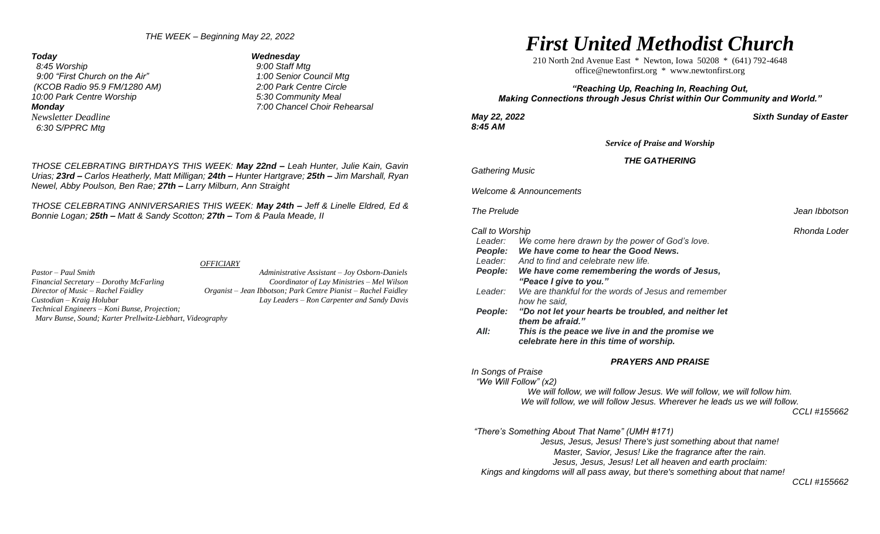*THE WEEK – Beginning May 22, 2022*

 *8:45 Worship 9:00 Staff Mtg 9:00 "First Church on the Air" 1:00 Senior Council Mtg (KCOB Radio 95.9 FM/1280 AM) 2:00 Park Centre Circle 10:00 Park Centre Worship 5:30 Community Meal Monday 7:00 Chancel Choir Rehearsal Newsletter Deadline 6:30 S/PPRC Mtg* 

*Today Wednesday*

*THOSE CELEBRATING BIRTHDAYS THIS WEEK: May 22nd – Leah Hunter, Julie Kain, Gavin Urias; 23rd – Carlos Heatherly, Matt Milligan; 24th – Hunter Hartgrave; 25th – Jim Marshall, Ryan Newel, Abby Poulson, Ben Rae; 27th – Larry Milburn, Ann Straight*

*THOSE CELEBRATING ANNIVERSARIES THIS WEEK: May 24th – Jeff & Linelle Eldred, Ed & Bonnie Logan; 25th – Matt & Sandy Scotton; 27th – Tom & Paula Meade, II*

#### *OFFICIARY*

*Pastor – Paul Smith Administrative Assistant – Joy Osborn-Daniels Financial Secretary – Dorothy McFarling Coordinator of Lay Ministries – Mel Wilson Director of Music – Rachel Faidley Organist – Jean Ibbotson; Park Centre Pianist – Rachel Faidley Custodian – Kraig Holubar Lay Leaders – Ron Carpenter and Sandy Davis Technical Engineers – Koni Bunse, Projection; Marv Bunse, Sound; Karter Prellwitz-Liebhart, Videography*

# *First United Methodist Church*

210 North 2nd Avenue East \* Newton, Iowa 50208 \* (641) 792-4648 [office@newtonfirst.org](mailto:office@newtonfirst.org) \* [www.newtonfirst.org](http://www.newtonfirst.org/)

### *"Reaching Up, Reaching In, Reaching Out, Making Connections through Jesus Christ within Our Community and World."*

*8:45 AM* 

*May 22, 2022 Sixth Sunday of Easter*

*Service of Praise and Worship*

*THE GATHERING*

*Gathering Music* 

*Welcome & Announcements*

**The Prelude Jean Ibbotson** 

#### *Call to Worship Rhonda Loder*

 *Leader: We come here drawn by the power of God's love. People: We have come to hear the Good News. Leader: And to find and celebrate new life. People: We have come remembering the words of Jesus, "Peace I give to you." Leader: We are thankful for the words of Jesus and remember how he said, People: "Do not let your hearts be troubled, and neither let them be afraid." All: This is the peace we live in and the promise we celebrate here in this time of worship.*

#### *PRAYERS AND PRAISE*

*In Songs of Praise*

 *"We Will Follow" (x2)*

*We will follow, we will follow Jesus. We will follow, we will follow him. We will follow, we will follow Jesus. Wherever he leads us we will follow.*

*CCLI #155662*

*"There's Something About That Name" (UMH #171)*

*Jesus, Jesus, Jesus! There's just something about that name! Master, Savior, Jesus! Like the fragrance after the rain.*

*Jesus, Jesus, Jesus! Let all heaven and earth proclaim:*

 *Kings and kingdoms will all pass away, but there's something about that name!* 

#### *CCLI #155662*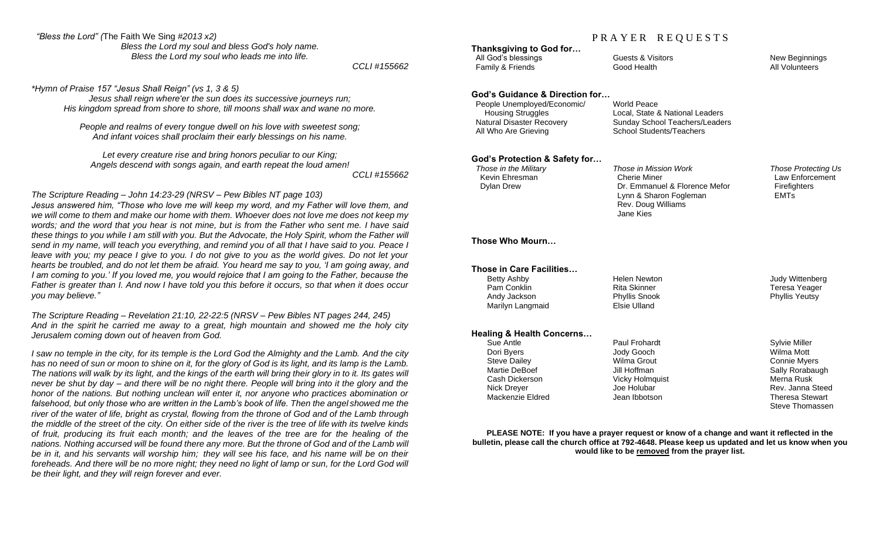#### *"Bless the Lord" (*The Faith We Sing *#2013 x2)*

*Bless the Lord my soul and bless God's holy name. Bless the Lord my soul who leads me into life.*

*CCLI #155662*

*\*Hymn of Praise 157 "Jesus Shall Reign" (vs 1, 3 & 5)*

*Jesus shall reign where'er the sun does its successive journeys run; His kingdom spread from shore to shore, till moons shall wax and wane no more.*

*People and realms of every tongue dwell on his love with sweetest song; And infant voices shall proclaim their early blessings on his name.*

*Let every creature rise and bring honors peculiar to our King; Angels descend with songs again, and earth repeat the loud amen!*

*CCLI #155662*

#### *The Scripture Reading – John 14:23-29 (NRSV – Pew Bibles NT page 103)*

*Jesus answered him, "Those who love me will keep my word, and my Father will love them, and we will come to them and make our home with them. Whoever does not love me does not keep my words; and the word that you hear is not mine, but is from the Father who sent me. I have said these things to you while I am still with you. But the Advocate, the Holy Spirit, whom the Father will send in my name, will teach you everything, and remind you of all that I have said to you. Peace I leave with you; my peace I give to you. I do not give to you as the world gives. Do not let your hearts be troubled, and do not let them be afraid. You heard me say to you, 'I am going away, and I am coming to you.' If you loved me, you would rejoice that I am going to the Father, because the Father is greater than I. And now I have told you this before it occurs, so that when it does occur you may believe."*

*The Scripture Reading – Revelation 21:10, 22-22:5 (NRSV – Pew Bibles NT pages 244, 245) And in the spirit he carried me away to a great, high mountain and showed me the holy city Jerusalem coming down out of heaven from God.*

*I saw no temple in the city, for its temple is the Lord God the Almighty and the Lamb. And the city has no need of sun or moon to shine on it, for the glory of God is its light, and its lamp is the Lamb. The nations will walk by its light, and the kings of the earth will bring their glory in to it. Its gates will never be shut by day – and there will be no night there. People will bring into it the glory and the honor of the nations. But nothing unclean will enter it, nor anyone who practices abomination or falsehood, but only those who are written in the Lamb's book of life. Then the angel showed me the river of the water of life, bright as crystal, flowing from the throne of God and of the Lamb through the middle of the street of the city. On either side of the river is the tree of life with its twelve kinds of fruit, producing its fruit each month; and the leaves of the tree are for the healing of the nations. Nothing accursed will be found there any more. But the throne of God and of the Lamb will be in it, and his servants will worship him; they will see his face, and his name will be on their foreheads. And there will be no more night; they need no light of lamp or sun, for the Lord God will be their light, and they will reign forever and ever.*

# PRAYER REQUESTS

**Thanksgiving to God for…** All God's blessings The Guests & Visitors New Beginnings New Beginnings

Family & Friends **Friends** Good Health **All Volunteers** All Volunteers

#### **God's Guidance & Direction for…**

 People Unemployed/Economic/ World Peace Housing Struggles Local, State & National Leaders All Who Are Grieving School Students/Teachers

Sunday School Teachers/Leaders

## **God's Protection & Safety for…**

 *Those in the Military Those in Mission Work Those Protecting Us* Kevin Ehresman Cherie Miner Law Enforcement Cherie Miner Dylan Drew Dr. Emmanuel & Florence Mefor Firefighters Lynn & Sharon Fogleman **EMTs**  Rev. Doug Williams Jane Kies

Steve Thomassen

#### **Those Who Mourn…**

| Those in Care Facilities…            |                     |                        |
|--------------------------------------|---------------------|------------------------|
| Betty Ashby                          | <b>Helen Newton</b> | <b>Judy Wittenberg</b> |
| Pam Conklin                          | <b>Rita Skinner</b> | Teresa Yeager          |
| Andy Jackson                         | Phyllis Snook       | <b>Phyllis Yeutsy</b>  |
| Marilyn Langmaid                     | Elsie Ulland        |                        |
| <b>Healing &amp; Health Concerns</b> |                     |                        |
| Sue Antle                            | Paul Frohardt       | <b>Sylvie Miller</b>   |
| Dori Byers                           | Jody Gooch          | Wilma Mott             |
| <b>Steve Dailey</b>                  | Wilma Grout         | Connie Myers           |
| Martie DeBoef                        | Jill Hoffman        | Sally Rorabaugh        |
| Cash Dickerson                       | Vicky Holmquist     | Merna Rusk             |
| <b>Nick Drever</b>                   | Joe Holubar         | Rev. Janna Steed       |

**PLEASE NOTE: If you have a prayer request or know of a change and want it reflected in the bulletin, please call the church office at 792-4648. Please keep us updated and let us know when you would like to be removed from the prayer list.**

Mackenzie Eldred Jean Ibbotson Theresa Stewart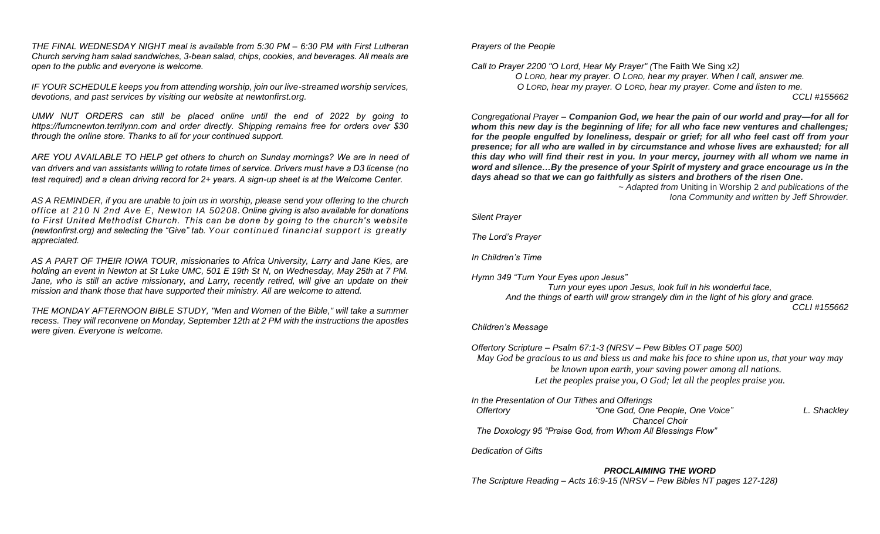*THE FINAL WEDNESDAY NIGHT meal is available from 5:30 PM – 6:30 PM with First Lutheran Church serving ham salad sandwiches, 3-bean salad, chips, cookies, and beverages. All meals are open to the public and everyone is welcome.* 

*IF YOUR SCHEDULE keeps you from attending worship, join our live-streamed worship services, devotions, and past services by visiting our website at newtonfirst.org.* 

*UMW NUT ORDERS can still be placed online until the end of 2022 by going to [https://fumcnewton.terrilynn.com](https://fumcnewton.terrilynn.com/) and order directly. Shipping remains free for orders over \$30 through the online store. Thanks to all for your continued support.*

*ARE YOU AVAILABLE TO HELP get others to church on Sunday mornings? We are in need of van drivers and van assistants willing to rotate times of service. Drivers must have a D3 license (no test required) and a clean driving record for 2+ years. A sign-up sheet is at the Welcome Center.*

*AS A REMINDER, if you are unable to join us in worship, please send your offering to the church office at 210 N 2nd Ave E, Newton IA 50208.Online giving is also available for donations to First United Methodist Church. This can be done by going to the church's website (newtonfirst.org) and selecting the "Give" tab. Your continued financial support is greatly appreciated.*

*AS A PART OF THEIR IOWA TOUR, missionaries to Africa University, Larry and Jane Kies, are holding an event in Newton at St Luke UMC, 501 E 19th St N, on Wednesday, May 25th at 7 PM.*  Jane, who is still an active missionary, and Larry, recently retired, will give an update on their *mission and thank those that have supported their ministry. All are welcome to attend.*

*THE MONDAY AFTERNOON BIBLE STUDY, "Men and Women of the Bible," will take a summer recess. They will reconvene on Monday, September 12th at 2 PM with the instructions the apostles were given. Everyone is welcome.*

*Prayers of the People*

*Call to Prayer 2200 "O Lord, Hear My Prayer" (*The Faith We Sing x2*)* 

*O LORD, hear my prayer. O LORD, hear my prayer. When I call, answer me. O LORD, hear my prayer. O LORD, hear my prayer. Come and listen to me.* 

*CCLI #155662*

*Congregational Prayer – Companion God, we hear the pain of our world and pray—for all for whom this new day is the beginning of life; for all who face new ventures and challenges; for the people engulfed by loneliness, despair or grief; for all who feel cast off from your presence; for all who are walled in by circumstance and whose lives are exhausted; for all this day who will find their rest in you. In your mercy, journey with all whom we name in word and silence…By the presence of your Spirit of mystery and grace encourage us in the days ahead so that we can go faithfully as sisters and brothers of the risen One.*

*~ Adapted from* Uniting in Worship 2 *and publications of the Iona Community and written by Jeff Shrowder.*

*Silent Prayer*

*The Lord's Prayer*

*In Children's Time* 

*Hymn 349 "Turn Your Eyes upon Jesus" Turn your eyes upon Jesus, look full in his wonderful face, And the things of earth will grow strangely dim in the light of his glory and grace. CCLI #155662*

#### *Children's Message*

*Offertory Scripture – Psalm 67:1-3 (NRSV – Pew Bibles OT page 500) May God be gracious to us and bless us and make his face to shine upon us, that your way may be known upon earth, your saving power among all nations. Let the peoples praise you, O God; let all the peoples praise you.*

*In the Presentation of Our Tithes and Offerings*

 *Offertory "One God, One People, One Voice" L. Shackley Chancel Choir The Doxology 95 "Praise God, from Whom All Blessings Flow"*

*Dedication of Gifts*

#### *PROCLAIMING THE WORD*

*The Scripture Reading – Acts 16:9-15 (NRSV – Pew Bibles NT pages 127-128)*